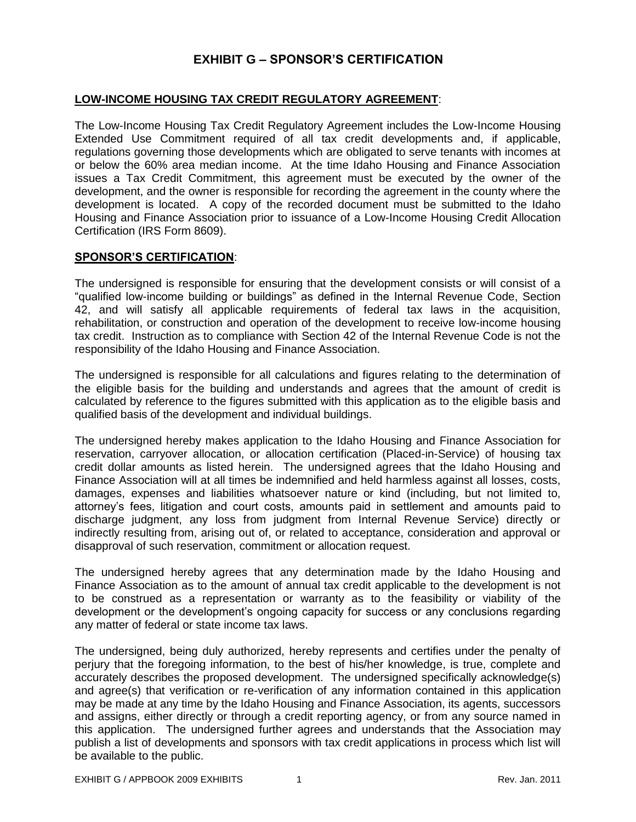## **EXHIBIT G – SPONSOR'S CERTIFICATION**

## **LOW-INCOME HOUSING TAX CREDIT REGULATORY AGREEMENT**:

The Low-Income Housing Tax Credit Regulatory Agreement includes the Low-Income Housing Extended Use Commitment required of all tax credit developments and, if applicable, regulations governing those developments which are obligated to serve tenants with incomes at or below the 60% area median income. At the time Idaho Housing and Finance Association issues a Tax Credit Commitment, this agreement must be executed by the owner of the development, and the owner is responsible for recording the agreement in the county where the development is located. A copy of the recorded document must be submitted to the Idaho Housing and Finance Association prior to issuance of a Low-Income Housing Credit Allocation Certification (IRS Form 8609).

## **SPONSOR'S CERTIFICATION**:

The undersigned is responsible for ensuring that the development consists or will consist of a "qualified low-income building or buildings" as defined in the Internal Revenue Code, Section 42, and will satisfy all applicable requirements of federal tax laws in the acquisition, rehabilitation, or construction and operation of the development to receive low-income housing tax credit. Instruction as to compliance with Section 42 of the Internal Revenue Code is not the responsibility of the Idaho Housing and Finance Association.

The undersigned is responsible for all calculations and figures relating to the determination of the eligible basis for the building and understands and agrees that the amount of credit is calculated by reference to the figures submitted with this application as to the eligible basis and qualified basis of the development and individual buildings.

The undersigned hereby makes application to the Idaho Housing and Finance Association for reservation, carryover allocation, or allocation certification (Placed-in-Service) of housing tax credit dollar amounts as listed herein. The undersigned agrees that the Idaho Housing and Finance Association will at all times be indemnified and held harmless against all losses, costs, damages, expenses and liabilities whatsoever nature or kind (including, but not limited to, attorney's fees, litigation and court costs, amounts paid in settlement and amounts paid to discharge judgment, any loss from judgment from Internal Revenue Service) directly or indirectly resulting from, arising out of, or related to acceptance, consideration and approval or disapproval of such reservation, commitment or allocation request.

The undersigned hereby agrees that any determination made by the Idaho Housing and Finance Association as to the amount of annual tax credit applicable to the development is not to be construed as a representation or warranty as to the feasibility or viability of the development or the development's ongoing capacity for success or any conclusions regarding any matter of federal or state income tax laws.

The undersigned, being duly authorized, hereby represents and certifies under the penalty of perjury that the foregoing information, to the best of his/her knowledge, is true, complete and accurately describes the proposed development. The undersigned specifically acknowledge(s) and agree(s) that verification or re-verification of any information contained in this application may be made at any time by the Idaho Housing and Finance Association, its agents, successors and assigns, either directly or through a credit reporting agency, or from any source named in this application. The undersigned further agrees and understands that the Association may publish a list of developments and sponsors with tax credit applications in process which list will be available to the public.